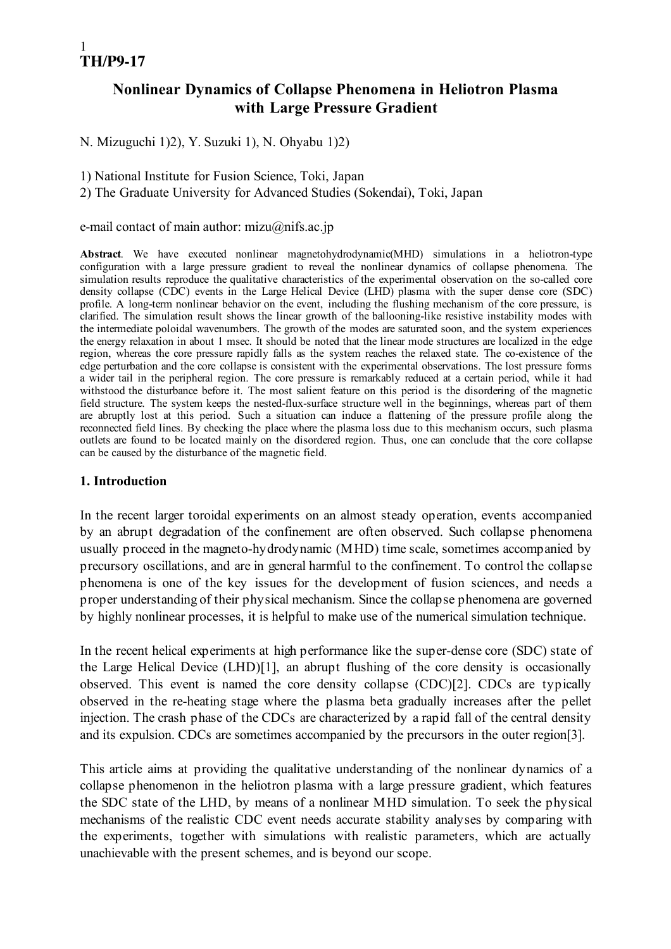# Nonlinear Dynamics of Collapse Phenomena in Heliotron Plasma with Large Pressure Gradient

N. Mizuguchi 1)2), Y. Suzuki 1), N. Ohyabu 1)2)

1) National Institute for Fusion Science, Toki, Japan

2) The Graduate University for Advanced Studies (Sokendai), Toki, Japan

#### e-mail contact of main author: mizu $@$ nifs.ac.jp

Abstract. We have executed nonlinear magnetohydrodynamic(MHD) simulations in a heliotron-type configuration with a large pressure gradient to reveal the nonlinear dynamics of collapse phenomena. The simulation results reproduce the qualitative characteristics of the experimental observation on the so-called core density collapse (CDC) events in the Large Helical Device (LHD) plasma with the super dense core (SDC) profile. A long-term nonlinear behavior on the event, including the flushing mechanism of the core pressure, is clarified. The simulation result shows the linear growth of the ballooning-like resistive instability modes with the intermediate poloidal wavenumbers. The growth of the modes are saturated soon, and the system experiences the energy relaxation in about 1 msec. It should be noted that the linear mode structures are localized in the edge region, whereas the core pressure rapidly falls as the system reaches the relaxed state. The co-existence of the edge perturbation and the core collapse is consistent with the experimental observations. The lost pressure forms a wider tail in the peripheral region. The core pressure is remarkably reduced at a certain period, while it had withstood the disturbance before it. The most salient feature on this period is the disordering of the magnetic field structure. The system keeps the nested-flux-surface structure well in the beginnings, whereas part of them are abruptly lost at this period. Such a situation can induce a flattening of the pressure profile along the reconnected field lines. By checking the place where the plasma loss due to this mechanism occurs, such plasma outlets are found to be located mainly on the disordered region. Thus, one can conclude that the core collapse can be caused by the disturbance of the magnetic field.

#### 1. Introduction

In the recent larger toroidal experiments on an almost steady operation, events accompanied by an abrupt degradation of the confinement are often observed. Such collapse phenomena usually proceed in the magneto-hydrodynamic (MHD) time scale, sometimes accompanied by precursory oscillations, and are in general harmful to the confinement. To control the collapse phenomena is one of the key issues for the development of fusion sciences, and needs a proper understanding of their physical mechanism. Since the collapse phenomena are governed by highly nonlinear processes, it is helpful to make use of the numerical simulation technique.

In the recent helical experiments at high performance like the super-dense core (SDC) state of the Large Helical Device (LHD)[1], an abrupt flushing of the core density is occasionally observed. This event is named the core density collapse (CDC)[2]. CDCs are typically observed in the re-heating stage where the plasma beta gradually increases after the pellet injection. The crash phase of the CDCs are characterized by a rapid fall of the central density and its expulsion. CDCs are sometimes accompanied by the precursors in the outer region[3].

This article aims at providing the qualitative understanding of the nonlinear dynamics of a collapse phenomenon in the heliotron plasma with a large pressure gradient, which features the SDC state of the LHD, by means of a nonlinear MHD simulation. To seek the physical mechanisms of the realistic CDC event needs accurate stability analyses by comparing with the experiments, together with simulations with realistic parameters, which are actually unachievable with the present schemes, and is beyond our scope.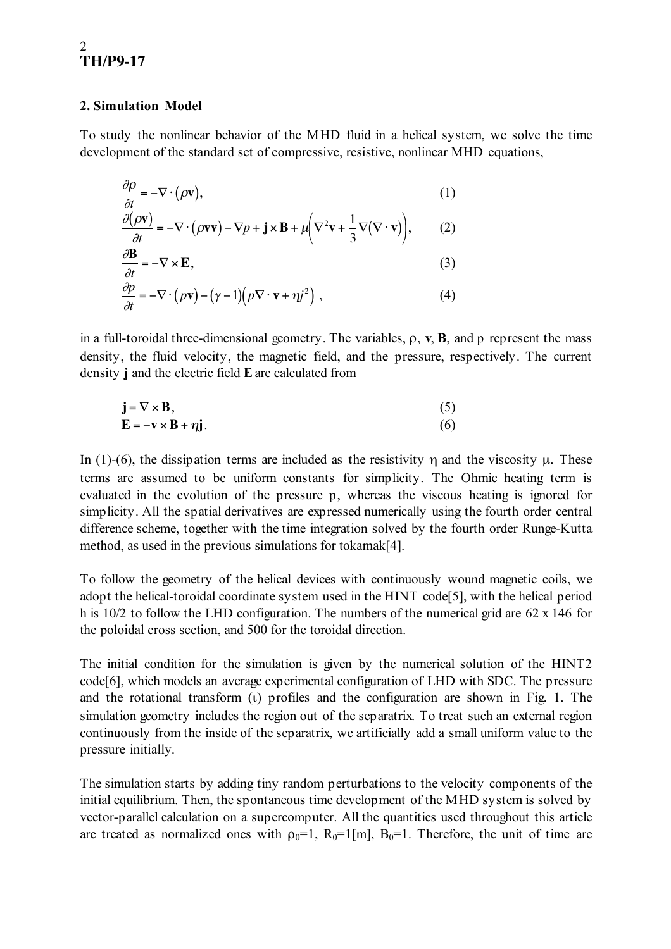#### 2. Simulation Model

To study the nonlinear behavior of the MHD fluid in a helical system, we solve the time development of the standard set of compressive, resistive, nonlinear MHD equations,

$$
\frac{\partial \rho}{\partial t} = -\nabla \cdot (\rho \mathbf{v}),
$$
\n(1)  
\n
$$
\frac{\partial (\rho \mathbf{v})}{\partial t} = -\nabla \cdot (\rho \mathbf{v} \mathbf{v}) - \nabla p + \mathbf{j} \times \mathbf{B} + \mu \left( \nabla^2 \mathbf{v} + \frac{1}{3} \nabla (\nabla \cdot \mathbf{v}) \right),
$$
\n(2)  
\n
$$
\frac{\partial \mathbf{B}}{\partial t} = -\nabla \times \mathbf{E},
$$
\n(3)  
\n
$$
\frac{\partial \rho}{\partial t} = -\nabla \cdot (\rho \mathbf{v}) - (\gamma - 1) (\rho \nabla \cdot \mathbf{v} + \eta j^2),
$$
\n(4)

in a full-toroidal three-dimensional geometry. The variables,  $\rho$ ,  $v$ ,  $B$ , and p represent the mass density, the fluid velocity, the magnetic field, and the pressure, respectively. The current density j and the electric field Eare calculated from

$$
\mathbf{j} = \nabla \times \mathbf{B},
$$
  
\n
$$
\mathbf{E} = -\mathbf{v} \times \mathbf{B} + \eta \mathbf{j}.
$$
 (5)

In (1)-(6), the dissipation terms are included as the resistivity  $\eta$  and the viscosity  $\mu$ . These terms are assumed to be uniform constants for simplicity. The Ohmic heating term is evaluated in the evolution of the pressure p, whereas the viscous heating is ignored for simplicity. All the spatial derivatives are expressed numerically using the fourth order central difference scheme, together with the time integration solved by the fourth order Runge-Kutta method, as used in the previous simulations for tokamak[4].

To follow the geometry of the helical devices with continuously wound magnetic coils, we adopt the helical-toroidal coordinate system used in the HINT code[5], with the helical period h is 10/2 to follow the LHD configuration. The numbers of the numerical grid are 62 x 146 for the poloidal cross section, and 500 for the toroidal direction.

The initial condition for the simulation is given by the numerical solution of the HINT2 code[6], which models an average experimental configuration of LHD with SDC. The pressure and the rotational transform (ι) profiles and the configuration are shown in Fig. 1. The simulation geometry includes the region out of the separatrix. To treat such an external region continuously from the inside of the separatrix, we artificially add a small uniform value to the pressure initially.

The simulation starts by adding tiny random perturbations to the velocity components of the initial equilibrium. Then, the spontaneous time development of the MHD system is solved by vector-parallel calculation on a supercomputer. All the quantities used throughout this article are treated as normalized ones with  $\rho_0=1$ ,  $R_0=1$ [m],  $B_0=1$ . Therefore, the unit of time are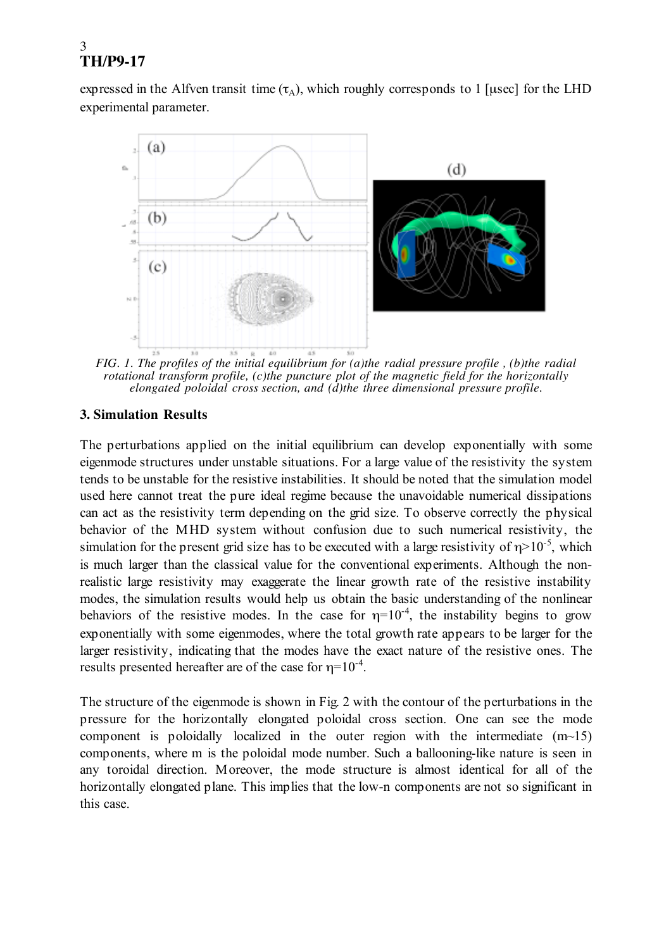expressed in the Alfven transit time  $(\tau_A)$ , which roughly corresponds to 1 [usec] for the LHD experimental parameter.



*FIG. 1. The profiles of the initial equilibrium for (a)the radial pressure profile , (b)the radial rotational transform profile, (c)the puncture plot of the magnetic field for the horizontally elongated poloidal cross section, and (d)the three dimensional pressure profile.*

#### **3. Simulation Results**

The perturbations applied on the initial equilibrium can develop exponentially with some eigenmode structures under unstable situations. For a large value of the resistivity the system tends to be unstable for the resistive instabilities. It should be noted that the simulation model used here cannot treat the pure ideal regime because the unavoidable numerical dissipations can act as the resistivity term depending on the grid size. To observe correctly the physical behavior of the MHD system without confusion due to such numerical resistivity, the simulation for the present grid size has to be executed with a large resistivity of  $\eta$ >10<sup>-5</sup>, which is much larger than the classical value for the conventional experiments. Although the nonrealistic large resistivity may exaggerate the linear growth rate of the resistive instability modes, the simulation results would help us obtain the basic understanding of the nonlinear behaviors of the resistive modes. In the case for  $\eta=10^{-4}$ , the instability begins to grow exponentially with some eigenmodes, where the total growth rate appears to be larger for the larger resistivity, indicating that the modes have the exact nature of the resistive ones. The results presented hereafter are of the case for  $\eta=10^{-4}$ .

The structure of the eigenmode is shown in Fig. 2 with the contour of the perturbations in the pressure for the horizontally elongated poloidal cross section. One can see the mode component is poloidally localized in the outer region with the intermediate  $(m<sub>15</sub>)$ components, where m is the poloidal mode number. Such a ballooning-like nature is seen in any toroidal direction. Moreover, the mode structure is almost identical for all of the horizontally elongated plane. This implies that the low-n components are not so significant in this case.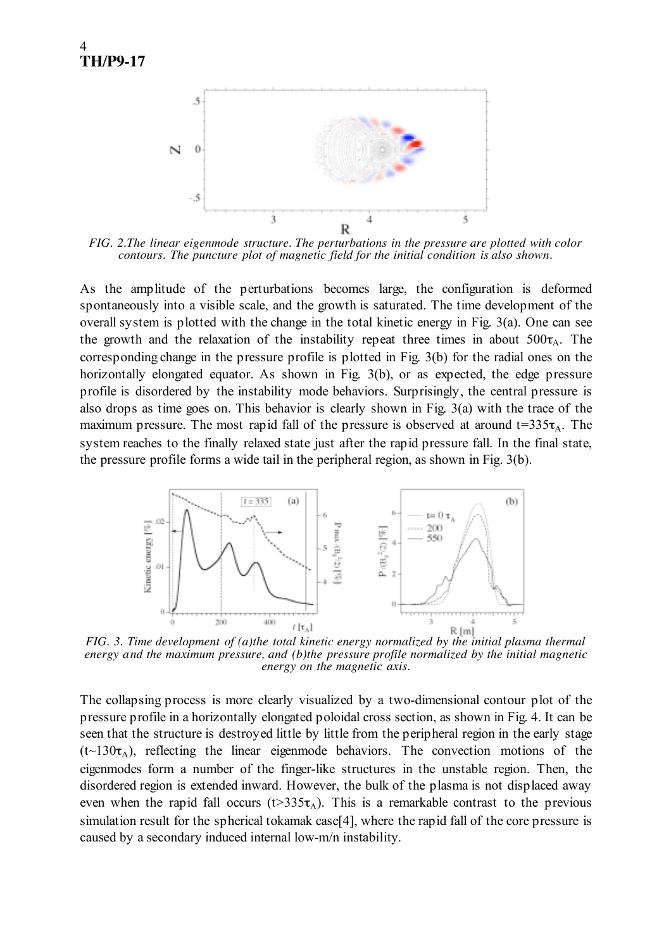

*FIG. 2.The linear eigenmode structure. The perturbations in the pressure are plotted with color contours. The puncture plot of magnetic field for the initial condition is also shown.*

As the amplitude of the perturbations becomes large, the configuration is deformed spontaneously into a visible scale, and the growth is saturated. The time development of the overall system is plotted with the change in the total kinetic energy in Fig. 3(a). One can see the growth and the relaxation of the instability repeat three times in about  $500\tau_A$ . The corresponding change in the pressure profile is plotted in Fig. 3(b) for the radial ones on the horizontally elongated equator. As shown in Fig. 3(b), or as expected, the edge pressure profile is disordered by the instability mode behaviors. Surprisingly, the central pressure is also drops as time goes on. This behavior is clearly shown in Fig. 3(a) with the trace of the maximum pressure. The most rapid fall of the pressure is observed at around  $t=335\tau_A$ . The system reaches to the finally relaxed state just after the rapid pressure fall. In the final state, the pressure profile forms a wide tail in the peripheral region, as shown in Fig. 3(b).



*FIG. 3. Time development of (a)the total kinetic energy normalized by the initial plasma thermal energy and the maximum pressure, and (b)the pressure profile normalized by the initial magnetic energy on the magnetic axis.*

The collapsing process is more clearly visualized by a two-dimensional contour plot of the pressure profile in a horizontally elongated poloidal cross section, as shown in Fig. 4. It can be seen that the structure is destroyed little by little from the peripheral region in the early stage  $(t\sim130\tau_A)$ , reflecting the linear eigenmode behaviors. The convection motions of the eigenmodes form a number of the finger-like structures in the unstable region. Then, the disordered region is extended inward. However, the bulk of the plasma is not displaced away even when the rapid fall occurs ( $t > 335\tau_A$ ). This is a remarkable contrast to the previous simulation result for the spherical tokamak case<sup>[4]</sup>, where the rapid fall of the core pressure is caused by a secondary induced internal low-m/n instability.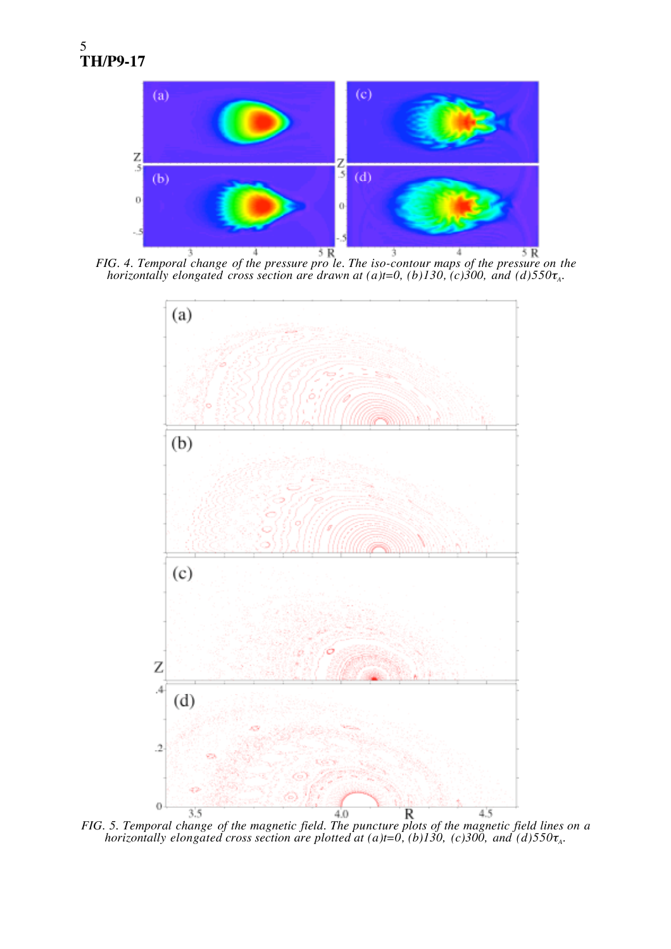

*FIG. 4. Temporal change of the pressure pro le. The iso-contour maps of the pressure on the horizontally elongated cross section are drawn at (a)t=0, (b)130, (c)300, and (d)550* $\tau$ <sub>A</sub>.



*FIG. 5. Temporal change of the magnetic field. The puncture plots of the magnetic field lines on a horizontally elongated cross section are plotted at (a)t*=0, (b)130, (c)300, and (d)550 $\tau_A$ .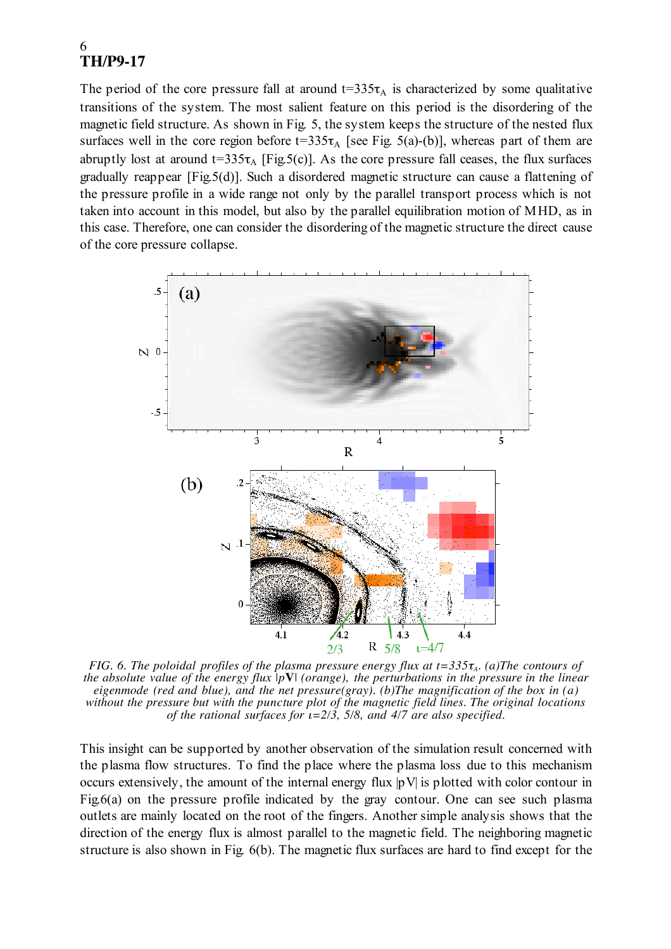The period of the core pressure fall at around  $t=335\tau_A$  is characterized by some qualitative transitions of the system. The most salient feature on this period is the disordering of the magnetic field structure. As shown in Fig. 5, the system keeps the structure of the nested flux surfaces well in the core region before  $t=335\tau_A$  [see Fig. 5(a)-(b)], whereas part of them are abruptly lost at around  $t=335\tau_A$  [Fig.5(c)]. As the core pressure fall ceases, the flux surfaces gradually reappear [Fig.5(d)]. Such a disordered magnetic structure can cause a flattening of the pressure profile in a wide range not only by the parallel transport process which is not taken into account in this model, but also by the parallel equilibration motion of MHD, as in this case. Therefore, one can consider the disordering of the magnetic structure the direct cause of the core pressure collapse.



*FIG. 6. The poloidal profiles of the plasma pressure energy flux at t=335* $\tau_A$ *. (a)The contours of the absolute value of the energy flux |p***V***| (orange), the perturbations in the pressure in the linear eigenmode (red and blue), and the net pressure(gray). (b)The magnification of the box in (a) without the pressure but with the puncture plot of the magnetic field lines. The original locations of the rational surfaces for* ι*=2/3, 5/8, and 4/7 are also specified.*

This insight can be supported by another observation of the simulation result concerned with the plasma flow structures. To find the place where the plasma loss due to this mechanism occurs extensively, the amount of the internal energy flux |pV| is plotted with color contour in Fig.6(a) on the pressure profile indicated by the gray contour. One can see such plasma outlets are mainly located on the root of the fingers. Another simple analysis shows that the direction of the energy flux is almost parallel to the magnetic field. The neighboring magnetic structure is also shown in Fig. 6(b). The magnetic flux surfaces are hard to find except for the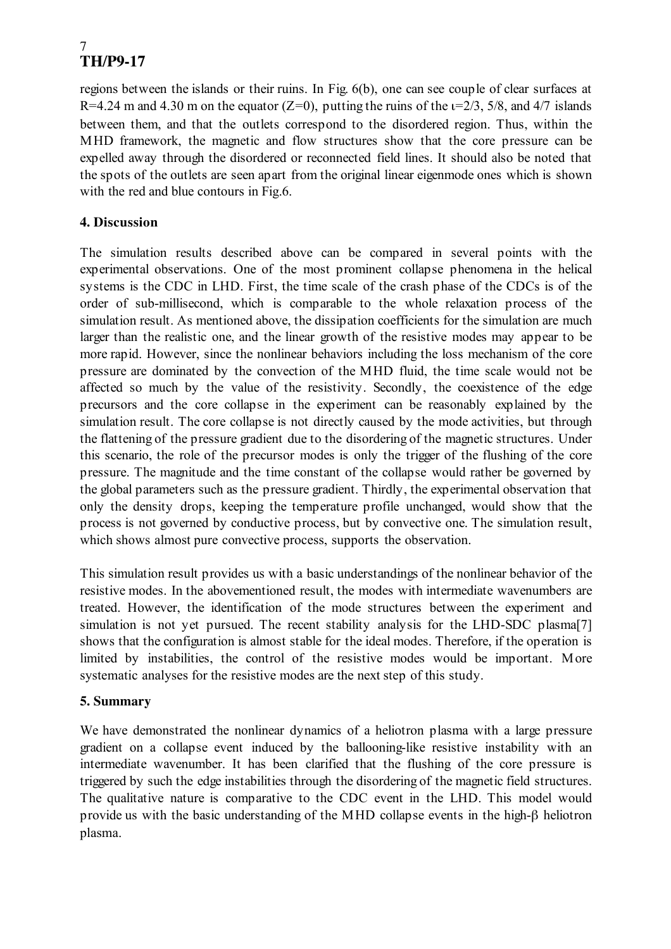regions between the islands or their ruins. In Fig. 6(b), one can see couple of clear surfaces at R=4.24 m and 4.30 m on the equator (Z=0), putting the ruins of the  $\varepsilon$ =2/3, 5/8, and 4/7 islands between them, and that the outlets correspond to the disordered region. Thus, within the MHD framework, the magnetic and flow structures show that the core pressure can be expelled away through the disordered or reconnected field lines. It should also be noted that the spots of the outlets are seen apart from the original linear eigenmode ones which is shown with the red and blue contours in Fig.6.

### **4. Discussion**

The simulation results described above can be compared in several points with the experimental observations. One of the most prominent collapse phenomena in the helical systems is the CDC in LHD. First, the time scale of the crash phase of the CDCs is of the order of sub-millisecond, which is comparable to the whole relaxation process of the simulation result. As mentioned above, the dissipation coefficients for the simulation are much larger than the realistic one, and the linear growth of the resistive modes may appear to be more rapid. However, since the nonlinear behaviors including the loss mechanism of the core pressure are dominated by the convection of the MHD fluid, the time scale would not be affected so much by the value of the resistivity. Secondly, the coexistence of the edge precursors and the core collapse in the experiment can be reasonably explained by the simulation result. The core collapse is not directly caused by the mode activities, but through the flattening of the pressure gradient due to the disordering of the magnetic structures. Under this scenario, the role of the precursor modes is only the trigger of the flushing of the core pressure. The magnitude and the time constant of the collapse would rather be governed by the global parameters such as the pressure gradient. Thirdly, the experimental observation that only the density drops, keeping the temperature profile unchanged, would show that the process is not governed by conductive process, but by convective one. The simulation result, which shows almost pure convective process, supports the observation.

This simulation result provides us with a basic understandings of the nonlinear behavior of the resistive modes. In the abovementioned result, the modes with intermediate wavenumbers are treated. However, the identification of the mode structures between the experiment and simulation is not yet pursued. The recent stability analysis for the LHD-SDC plasma<sup>[7]</sup> shows that the configuration is almost stable for the ideal modes. Therefore, if the operation is limited by instabilities, the control of the resistive modes would be important. More systematic analyses for the resistive modes are the next step of this study.

#### **5. Summary**

We have demonstrated the nonlinear dynamics of a heliotron plasma with a large pressure gradient on a collapse event induced by the ballooning-like resistive instability with an intermediate wavenumber. It has been clarified that the flushing of the core pressure is triggered by such the edge instabilities through the disordering of the magnetic field structures. The qualitative nature is comparative to the CDC event in the LHD. This model would provide us with the basic understanding of the MHD collapse events in the high-β heliotron plasma.